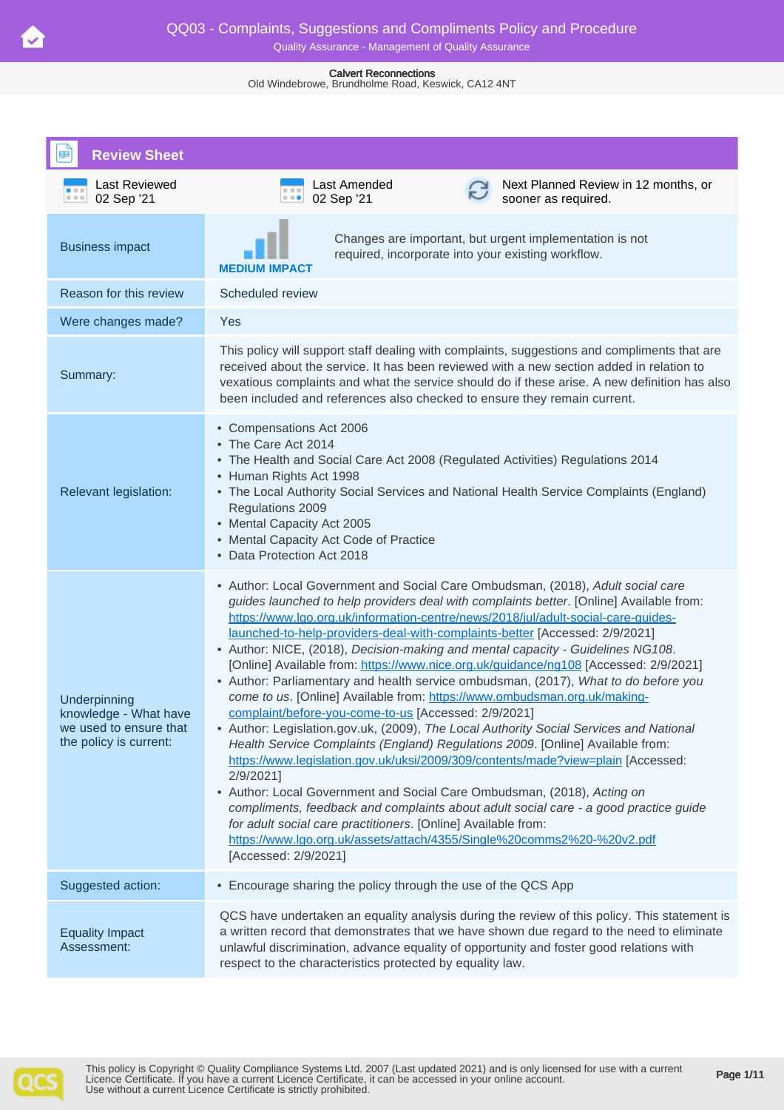Old Windebrowe, Brundholme Road, Keswick, CA12 4NT

| <b>Review Sheet</b>                                                                       |                                                                                                                                                                                                                                                                                                                                                                                                                                                                                                                                                                                                                                                                                                                                                                                                                                                                                                                                                                                                                                                                                                                                                                                                                                                                                                                                                                          |  |  |
|-------------------------------------------------------------------------------------------|--------------------------------------------------------------------------------------------------------------------------------------------------------------------------------------------------------------------------------------------------------------------------------------------------------------------------------------------------------------------------------------------------------------------------------------------------------------------------------------------------------------------------------------------------------------------------------------------------------------------------------------------------------------------------------------------------------------------------------------------------------------------------------------------------------------------------------------------------------------------------------------------------------------------------------------------------------------------------------------------------------------------------------------------------------------------------------------------------------------------------------------------------------------------------------------------------------------------------------------------------------------------------------------------------------------------------------------------------------------------------|--|--|
| Last Reviewed<br>02 Sep '21<br>0.0.0                                                      | Last Amended<br>Next Planned Review in 12 months, or<br>02 Sep '21<br>$\cdots$<br>sooner as required.                                                                                                                                                                                                                                                                                                                                                                                                                                                                                                                                                                                                                                                                                                                                                                                                                                                                                                                                                                                                                                                                                                                                                                                                                                                                    |  |  |
| <b>Business impact</b>                                                                    | Changes are important, but urgent implementation is not<br>required, incorporate into your existing workflow.<br><b>MEDIUM IMPACT</b>                                                                                                                                                                                                                                                                                                                                                                                                                                                                                                                                                                                                                                                                                                                                                                                                                                                                                                                                                                                                                                                                                                                                                                                                                                    |  |  |
| Reason for this review                                                                    | Scheduled review                                                                                                                                                                                                                                                                                                                                                                                                                                                                                                                                                                                                                                                                                                                                                                                                                                                                                                                                                                                                                                                                                                                                                                                                                                                                                                                                                         |  |  |
| Were changes made?                                                                        | Yes                                                                                                                                                                                                                                                                                                                                                                                                                                                                                                                                                                                                                                                                                                                                                                                                                                                                                                                                                                                                                                                                                                                                                                                                                                                                                                                                                                      |  |  |
| Summary:                                                                                  | This policy will support staff dealing with complaints, suggestions and compliments that are<br>received about the service. It has been reviewed with a new section added in relation to<br>vexatious complaints and what the service should do if these arise. A new definition has also<br>been included and references also checked to ensure they remain current.                                                                                                                                                                                                                                                                                                                                                                                                                                                                                                                                                                                                                                                                                                                                                                                                                                                                                                                                                                                                    |  |  |
| Relevant legislation:                                                                     | • Compensations Act 2006<br>• The Care Act 2014<br>• The Health and Social Care Act 2008 (Regulated Activities) Regulations 2014<br>• Human Rights Act 1998<br>• The Local Authority Social Services and National Health Service Complaints (England)<br>Regulations 2009<br>• Mental Capacity Act 2005<br>• Mental Capacity Act Code of Practice<br>• Data Protection Act 2018                                                                                                                                                                                                                                                                                                                                                                                                                                                                                                                                                                                                                                                                                                                                                                                                                                                                                                                                                                                          |  |  |
| Underpinning<br>knowledge - What have<br>we used to ensure that<br>the policy is current: | • Author: Local Government and Social Care Ombudsman, (2018), Adult social care<br>guides launched to help providers deal with complaints better. [Online] Available from:<br>https://www.lgo.org.uk/information-centre/news/2018/jul/adult-social-care-guides-<br>launched-to-help-providers-deal-with-complaints-better [Accessed: 2/9/2021]<br>• Author: NICE, (2018), Decision-making and mental capacity - Guidelines NG108.<br>[Online] Available from: https://www.nice.org.uk/quidance/ng108 [Accessed: 2/9/2021]<br>• Author: Parliamentary and health service ombudsman, (2017), What to do before you<br>come to us. [Online] Available from: https://www.ombudsman.org.uk/making-<br>complaint/before-you-come-to-us [Accessed: 2/9/2021]<br>• Author: Legislation.gov.uk, (2009), The Local Authority Social Services and National<br>Health Service Complaints (England) Regulations 2009. [Online] Available from:<br>https://www.legislation.gov.uk/uksi/2009/309/contents/made?view=plain [Accessed:<br>2/9/2021]<br>• Author: Local Government and Social Care Ombudsman, (2018), Acting on<br>compliments, feedback and complaints about adult social care - a good practice guide<br>for adult social care practitioners. [Online] Available from:<br>https://www.lgo.org.uk/assets/attach/4355/Single%20comms2%20-%20v2.pdf<br>[Accessed: 2/9/2021] |  |  |
| Suggested action:                                                                         | • Encourage sharing the policy through the use of the QCS App                                                                                                                                                                                                                                                                                                                                                                                                                                                                                                                                                                                                                                                                                                                                                                                                                                                                                                                                                                                                                                                                                                                                                                                                                                                                                                            |  |  |
| <b>Equality Impact</b><br>Assessment:                                                     | QCS have undertaken an equality analysis during the review of this policy. This statement is<br>a written record that demonstrates that we have shown due regard to the need to eliminate<br>unlawful discrimination, advance equality of opportunity and foster good relations with<br>respect to the characteristics protected by equality law.                                                                                                                                                                                                                                                                                                                                                                                                                                                                                                                                                                                                                                                                                                                                                                                                                                                                                                                                                                                                                        |  |  |

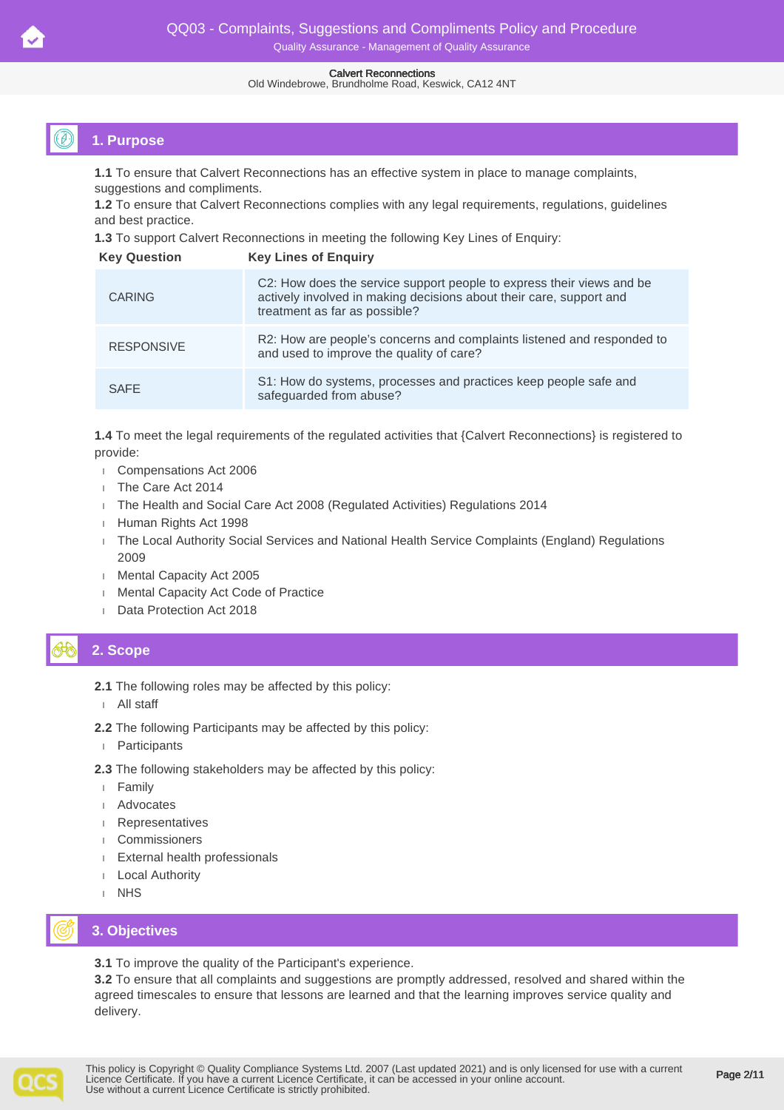#### Old Windebrowe, Brundholme Road, Keswick, CA12 4NT

# **1. Purpose**

**1.1** To ensure that Calvert Reconnections has an effective system in place to manage complaints, suggestions and compliments.

**1.2** To ensure that Calvert Reconnections complies with any legal requirements, regulations, guidelines and best practice.

**1.3** To support Calvert Reconnections in meeting the following Key Lines of Enquiry:

| <b>Key Question</b> | <b>Key Lines of Enguiry</b>                                                                                                                                                   |
|---------------------|-------------------------------------------------------------------------------------------------------------------------------------------------------------------------------|
| <b>CARING</b>       | C2: How does the service support people to express their views and be<br>actively involved in making decisions about their care, support and<br>treatment as far as possible? |
| <b>RESPONSIVE</b>   | R2: How are people's concerns and complaints listened and responded to<br>and used to improve the quality of care?                                                            |
| <b>SAFE</b>         | S1: How do systems, processes and practices keep people safe and<br>safeguarded from abuse?                                                                                   |

**1.4** To meet the legal requirements of the regulated activities that {Calvert Reconnections} is registered to provide:

- Compensations Act 2006
- The Care Act 2014
- The Health and Social Care Act 2008 (Regulated Activities) Regulations 2014
- Human Rights Act 1998
- The Local Authority Social Services and National Health Service Complaints (England) Regulations 2009
- **Mental Capacity Act 2005**
- **Mental Capacity Act Code of Practice**
- Data Protection Act 2018

# **2. Scope**

- **2.1** The following roles may be affected by this policy:
- All staff
- **2.2** The following Participants may be affected by this policy:
- Participants
- **2.3** The following stakeholders may be affected by this policy:
- Family
- Advocates
- Representatives
- Commissioners
- External health professionals
- Local Authority
- I NHS

# **3. Objectives**

**3.1** To improve the quality of the Participant's experience.

**3.2** To ensure that all complaints and suggestions are promptly addressed, resolved and shared within the agreed timescales to ensure that lessons are learned and that the learning improves service quality and delivery.

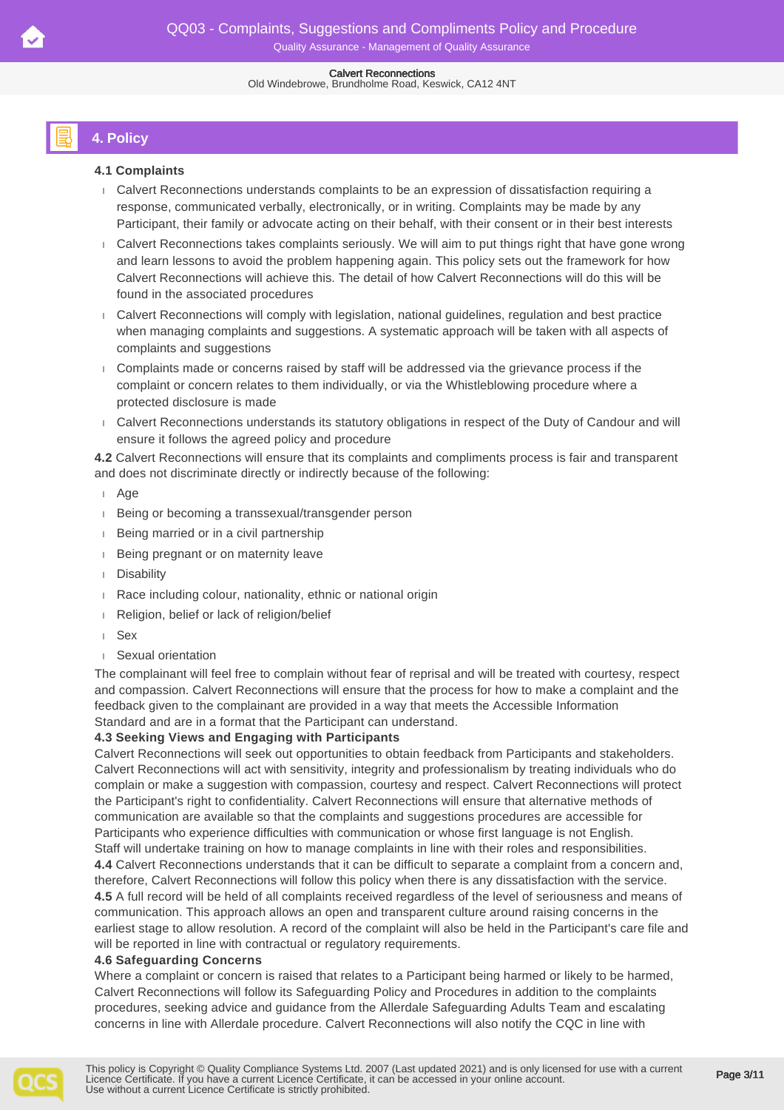# **4. Policy**

### **4.1 Complaints**

- Calvert Reconnections understands complaints to be an expression of dissatisfaction requiring a response, communicated verbally, electronically, or in writing. Complaints may be made by any Participant, their family or advocate acting on their behalf, with their consent or in their best interests
- Calvert Reconnections takes complaints seriously. We will aim to put things right that have gone wrong and learn lessons to avoid the problem happening again. This policy sets out the framework for how Calvert Reconnections will achieve this. The detail of how Calvert Reconnections will do this will be found in the associated procedures
- Calvert Reconnections will comply with legislation, national guidelines, regulation and best practice when managing complaints and suggestions. A systematic approach will be taken with all aspects of complaints and suggestions
- Complaints made or concerns raised by staff will be addressed via the grievance process if the complaint or concern relates to them individually, or via the Whistleblowing procedure where a protected disclosure is made
- Calvert Reconnections understands its statutory obligations in respect of the Duty of Candour and will ensure it follows the agreed policy and procedure

**4.2** Calvert Reconnections will ensure that its complaints and compliments process is fair and transparent and does not discriminate directly or indirectly because of the following:

### Age

- Being or becoming a transsexual/transgender person
- Being married or in a civil partnership
- **Being pregnant or on maternity leave**
- Disability
- Race including colour, nationality, ethnic or national origin
- Religion, belief or lack of religion/belief
- Sex
- Sexual orientation

The complainant will feel free to complain without fear of reprisal and will be treated with courtesy, respect and compassion. Calvert Reconnections will ensure that the process for how to make a complaint and the feedback given to the complainant are provided in a way that meets the Accessible Information Standard and are in a format that the Participant can understand.

### **4.3 Seeking Views and Engaging with Participants**

Calvert Reconnections will seek out opportunities to obtain feedback from Participants and stakeholders. Calvert Reconnections will act with sensitivity, integrity and professionalism by treating individuals who do complain or make a suggestion with compassion, courtesy and respect. Calvert Reconnections will protect the Participant's right to confidentiality. Calvert Reconnections will ensure that alternative methods of communication are available so that the complaints and suggestions procedures are accessible for Participants who experience difficulties with communication or whose first language is not English.

Staff will undertake training on how to manage complaints in line with their roles and responsibilities. **4.4** Calvert Reconnections understands that it can be difficult to separate a complaint from a concern and, therefore, Calvert Reconnections will follow this policy when there is any dissatisfaction with the service. **4.5** A full record will be held of all complaints received regardless of the level of seriousness and means of communication. This approach allows an open and transparent culture around raising concerns in the earliest stage to allow resolution. A record of the complaint will also be held in the Participant's care file and will be reported in line with contractual or regulatory requirements.

### **4.6 Safeguarding Concerns**

Where a complaint or concern is raised that relates to a Participant being harmed or likely to be harmed, Calvert Reconnections will follow its Safeguarding Policy and Procedures in addition to the complaints procedures, seeking advice and guidance from the Allerdale Safeguarding Adults Team and escalating concerns in line with Allerdale procedure. Calvert Reconnections will also notify the CQC in line with

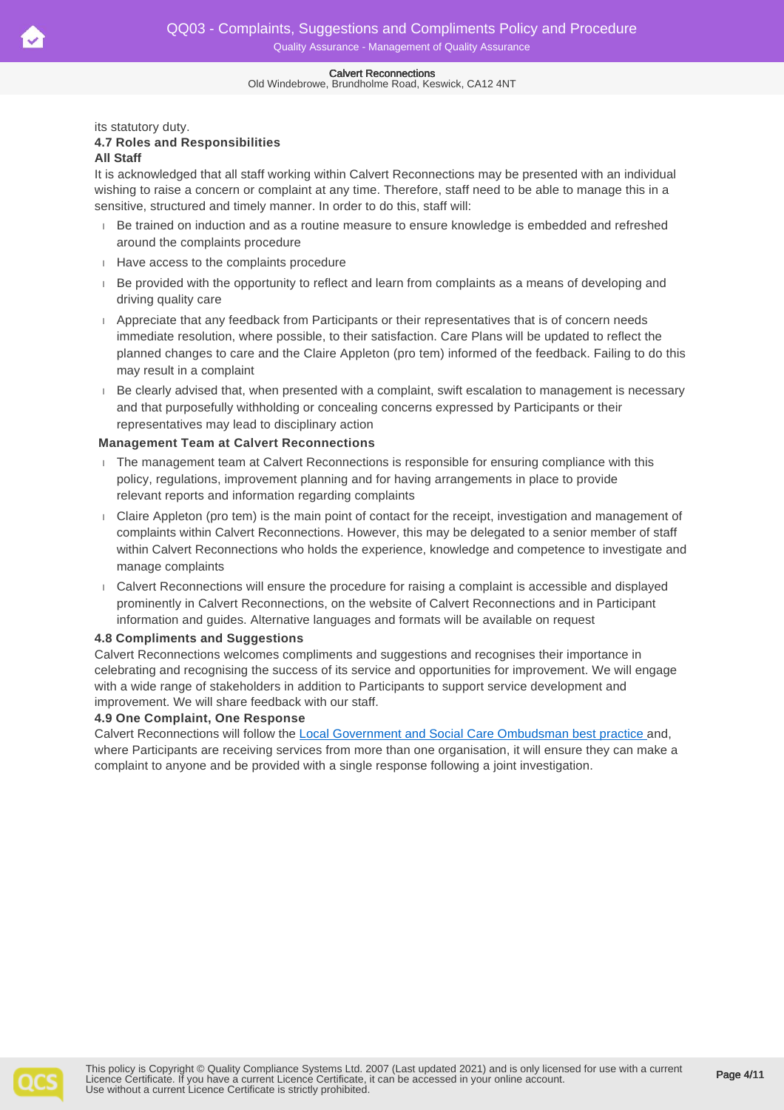#### Old Windebrowe, Brundholme Road, Keswick, CA12 4NT

its statutory duty.

# **4.7 Roles and Responsibilities**

### **All Staff**

It is acknowledged that all staff working within Calvert Reconnections may be presented with an individual wishing to raise a concern or complaint at any time. Therefore, staff need to be able to manage this in a sensitive, structured and timely manner. In order to do this, staff will:

- Be trained on induction and as a routine measure to ensure knowledge is embedded and refreshed around the complaints procedure
- Have access to the complaints procedure
- Be provided with the opportunity to reflect and learn from complaints as a means of developing and driving quality care
- Appreciate that any feedback from Participants or their representatives that is of concern needs immediate resolution, where possible, to their satisfaction. Care Plans will be updated to reflect the planned changes to care and the Claire Appleton (pro tem) informed of the feedback. Failing to do this may result in a complaint
- Be clearly advised that, when presented with a complaint, swift escalation to management is necessary and that purposefully withholding or concealing concerns expressed by Participants or their representatives may lead to disciplinary action

### **Management Team at Calvert Reconnections**

- The management team at Calvert Reconnections is responsible for ensuring compliance with this policy, regulations, improvement planning and for having arrangements in place to provide relevant reports and information regarding complaints
- Claire Appleton (pro tem) is the main point of contact for the receipt, investigation and management of complaints within Calvert Reconnections. However, this may be delegated to a senior member of staff within Calvert Reconnections who holds the experience, knowledge and competence to investigate and manage complaints
- Calvert Reconnections will ensure the procedure for raising a complaint is accessible and displayed prominently in Calvert Reconnections, on the website of Calvert Reconnections and in Participant information and guides. Alternative languages and formats will be available on request

### **4.8 Compliments and Suggestions**

Calvert Reconnections welcomes compliments and suggestions and recognises their importance in celebrating and recognising the success of its service and opportunities for improvement. We will engage with a wide range of stakeholders in addition to Participants to support service development and improvement. We will share feedback with our staff.

### **4.9 One Complaint, One Response**

Calvert Reconnections will follow the [Local Government and Social Care Ombudsman best practice](https://www.lgo.org.uk/assets/attach/4355/Single%20comms2%20-%20v2.pdf) and, where Participants are receiving services from more than one organisation, it will ensure they can make a complaint to anyone and be provided with a single response following a joint investigation.

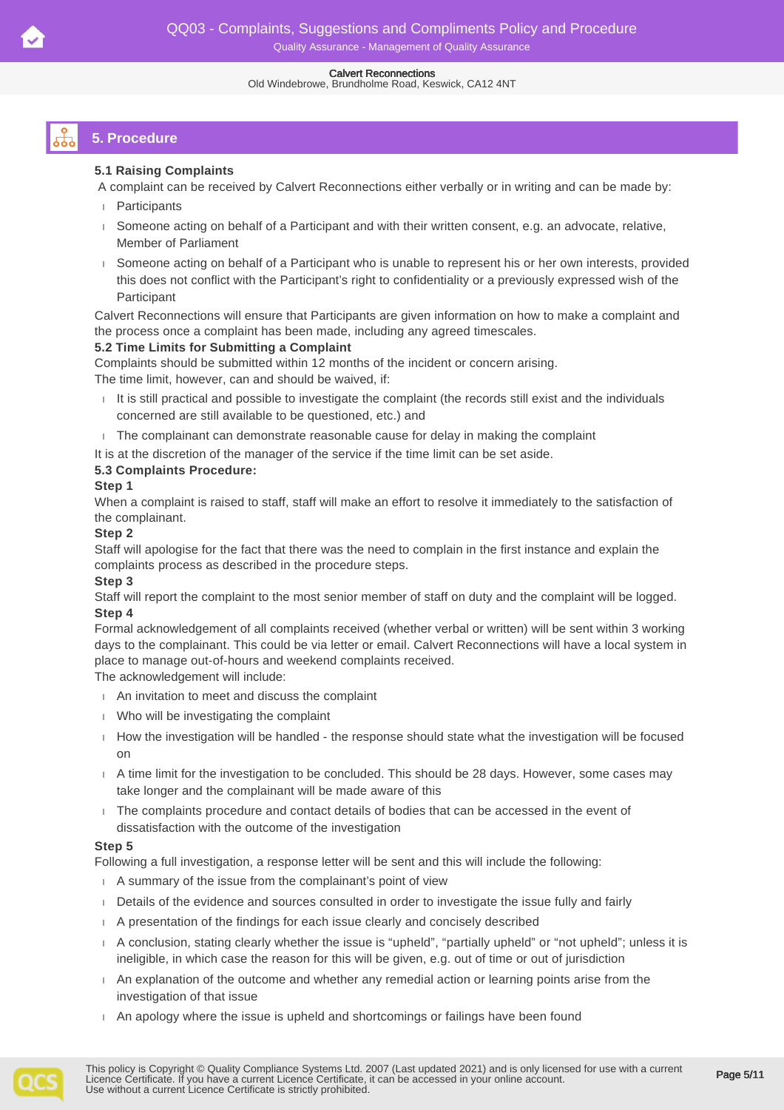#### Old Windebrowe, Brundholme Road, Keswick, CA12 4NT

# **5. Procedure**

### **5.1 Raising Complaints**

A complaint can be received by Calvert Reconnections either verbally or in writing and can be made by:

- **Participants**
- Someone acting on behalf of a Participant and with their written consent, e.g. an advocate, relative, Member of Parliament
- Someone acting on behalf of a Participant who is unable to represent his or her own interests, provided this does not conflict with the Participant's right to confidentiality or a previously expressed wish of the Participant

Calvert Reconnections will ensure that Participants are given information on how to make a complaint and the process once a complaint has been made, including any agreed timescales.

### **5.2 Time Limits for Submitting a Complaint**

Complaints should be submitted within 12 months of the incident or concern arising.

The time limit, however, can and should be waived, if:

- It is still practical and possible to investigate the complaint (the records still exist and the individuals concerned are still available to be questioned, etc.) and
- $\Box$  The complainant can demonstrate reasonable cause for delay in making the complaint
- It is at the discretion of the manager of the service if the time limit can be set aside.

### **5.3 Complaints Procedure:**

### **Step 1**

When a complaint is raised to staff, staff will make an effort to resolve it immediately to the satisfaction of the complainant.

### **Step 2**

Staff will apologise for the fact that there was the need to complain in the first instance and explain the complaints process as described in the procedure steps.

### **Step 3**

Staff will report the complaint to the most senior member of staff on duty and the complaint will be logged. **Step 4**

Formal acknowledgement of all complaints received (whether verbal or written) will be sent within 3 working days to the complainant. This could be via letter or email. Calvert Reconnections will have a local system in place to manage out-of-hours and weekend complaints received.

The acknowledgement will include:

- An invitation to meet and discuss the complaint
- Who will be investigating the complaint
- How the investigation will be handled the response should state what the investigation will be focused on
- A time limit for the investigation to be concluded. This should be 28 days. However, some cases may take longer and the complainant will be made aware of this
- The complaints procedure and contact details of bodies that can be accessed in the event of dissatisfaction with the outcome of the investigation

### **Step 5**

Following a full investigation, a response letter will be sent and this will include the following:

- A summary of the issue from the complainant's point of view
- Details of the evidence and sources consulted in order to investigate the issue fully and fairly
- A presentation of the findings for each issue clearly and concisely described
- A conclusion, stating clearly whether the issue is "upheld", "partially upheld" or "not upheld"; unless it is ineligible, in which case the reason for this will be given, e.g. out of time or out of jurisdiction
- An explanation of the outcome and whether any remedial action or learning points arise from the investigation of that issue
- An apology where the issue is upheld and shortcomings or failings have been found

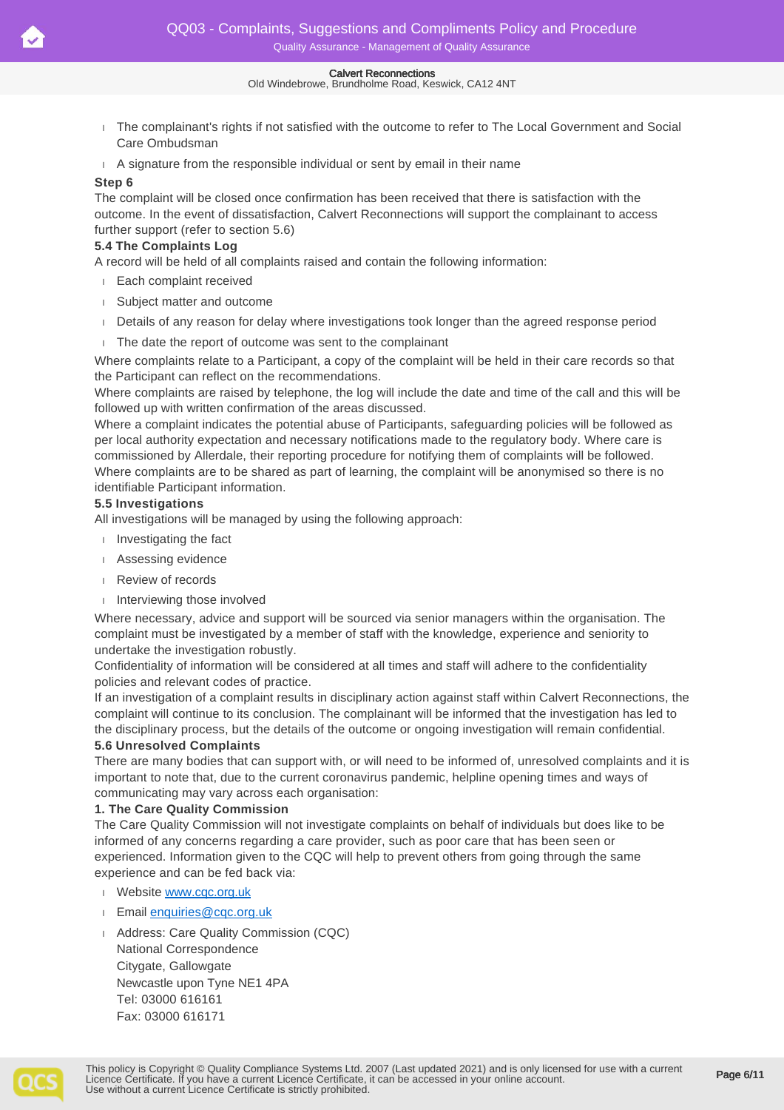#### Old Windebrowe, Brundholme Road, Keswick, CA12 4NT

- The complainant's rights if not satisfied with the outcome to refer to The Local Government and Social Care Ombudsman
- A signature from the responsible individual or sent by email in their name

### **Step 6**

The complaint will be closed once confirmation has been received that there is satisfaction with the outcome. In the event of dissatisfaction, Calvert Reconnections will support the complainant to access further support (refer to section 5.6)

### **5.4 The Complaints Log**

A record will be held of all complaints raised and contain the following information:

- Each complaint received
- Subject matter and outcome
- Details of any reason for delay where investigations took longer than the agreed response period
- The date the report of outcome was sent to the complainant

Where complaints relate to a Participant, a copy of the complaint will be held in their care records so that the Participant can reflect on the recommendations.

Where complaints are raised by telephone, the log will include the date and time of the call and this will be followed up with written confirmation of the areas discussed.

Where a complaint indicates the potential abuse of Participants, safeguarding policies will be followed as per local authority expectation and necessary notifications made to the regulatory body. Where care is commissioned by Allerdale, their reporting procedure for notifying them of complaints will be followed. Where complaints are to be shared as part of learning, the complaint will be anonymised so there is no identifiable Participant information.

### **5.5 Investigations**

All investigations will be managed by using the following approach:

- Investigating the fact
- Assessing evidence
- Review of records
- Interviewing those involved

Where necessary, advice and support will be sourced via senior managers within the organisation. The complaint must be investigated by a member of staff with the knowledge, experience and seniority to undertake the investigation robustly.

Confidentiality of information will be considered at all times and staff will adhere to the confidentiality policies and relevant codes of practice.

If an investigation of a complaint results in disciplinary action against staff within Calvert Reconnections, the complaint will continue to its conclusion. The complainant will be informed that the investigation has led to the disciplinary process, but the details of the outcome or ongoing investigation will remain confidential.

### **5.6 Unresolved Complaints**

There are many bodies that can support with, or will need to be informed of, unresolved complaints and it is important to note that, due to the current coronavirus pandemic, helpline opening times and ways of communicating may vary across each organisation:

#### **1. The Care Quality Commission**

The Care Quality Commission will not investigate complaints on behalf of individuals but does like to be informed of any concerns regarding a care provider, such as poor care that has been seen or experienced. Information given to the CQC will help to prevent others from going through the same experience and can be fed back via:

- Website [www.cqc.org.uk](http://www.cqc.org.uk/)
- Email [enquiries@cqc.org.uk](mailto:enquiries@cqc.org.uk)
- Address: Care Quality Commission (CQC) National Correspondence Citygate, Gallowgate Newcastle upon Tyne NE1 4PA Tel: 03000 616161 Fax: 03000 616171

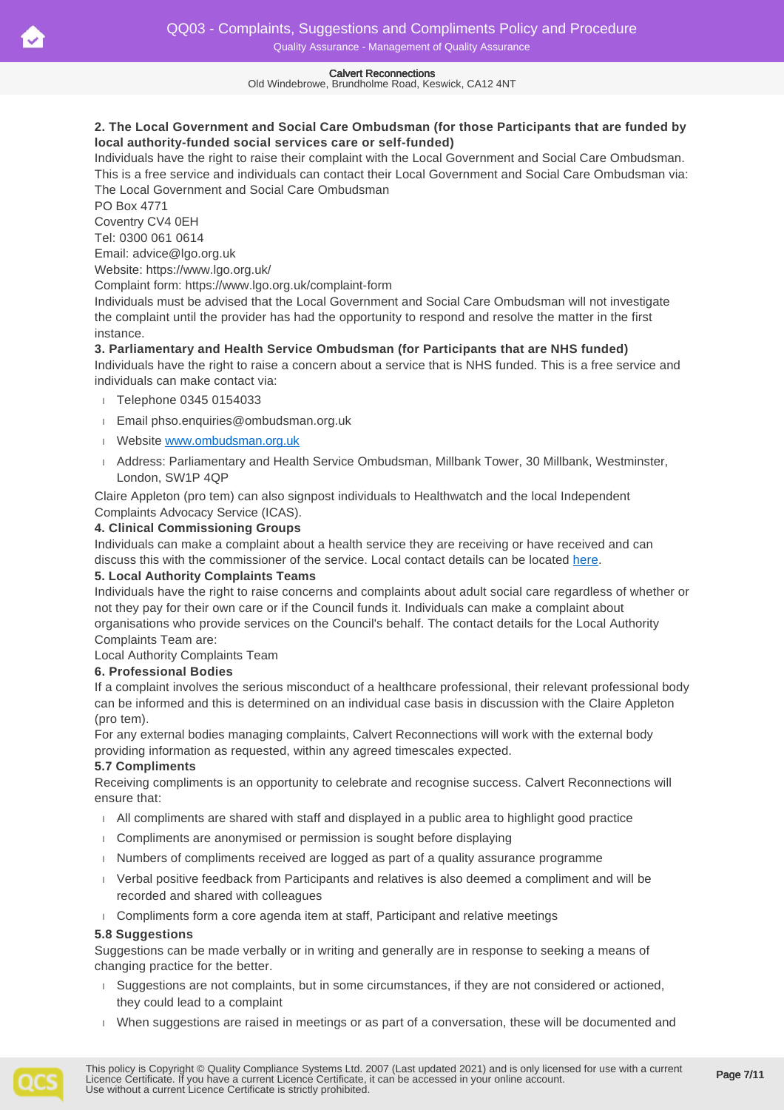Old Windebrowe, Brundholme Road, Keswick, CA12 4NT

### **2. The Local Government and Social Care Ombudsman (for those Participants that are funded by local authority-funded social services care or self-funded)**

Individuals have the right to raise their complaint with the Local Government and Social Care Ombudsman. This is a free service and individuals can contact their Local Government and Social Care Ombudsman via: The Local Government and Social Care Ombudsman

PO Box 4771 Coventry CV4 0EH Tel: 0300 061 0614 Email: advice@lgo.org.uk Website: https://www.lgo.org.uk/

Complaint form: https://www.lgo.org.uk/complaint-form

Individuals must be advised that the Local Government and Social Care Ombudsman will not investigate the complaint until the provider has had the opportunity to respond and resolve the matter in the first instance.

### **3. Parliamentary and Health Service Ombudsman (for Participants that are NHS funded)**

Individuals have the right to raise a concern about a service that is NHS funded. This is a free service and individuals can make contact via:

- Telephone 0345 0154033
- Email phso.enquiries@ombudsman.org.uk
- Website [www.ombudsman.org.uk](http://www.ombudsman.org.uk/)
- Address: Parliamentary and Health Service Ombudsman, Millbank Tower, 30 Millbank, Westminster, London, SW1P 4QP

Claire Appleton (pro tem) can also signpost individuals to Healthwatch and the local Independent Complaints Advocacy Service (ICAS).

### **4. Clinical Commissioning Groups**

Individuals can make a complaint about a health service they are receiving or have received and can discuss this with the commissioner of the service. Local contact details can be located [here](http://www.england.nhs.uk/ccg-details/#ccg-e).

### **5. Local Authority Complaints Teams**

Individuals have the right to raise concerns and complaints about adult social care regardless of whether or not they pay for their own care or if the Council funds it. Individuals can make a complaint about organisations who provide services on the Council's behalf. The contact details for the Local Authority Complaints Team are:

Local Authority Complaints Team

### **6. Professional Bodies**

If a complaint involves the serious misconduct of a healthcare professional, their relevant professional body can be informed and this is determined on an individual case basis in discussion with the Claire Appleton (pro tem).

For any external bodies managing complaints, Calvert Reconnections will work with the external body providing information as requested, within any agreed timescales expected.

### **5.7 Compliments**

Receiving compliments is an opportunity to celebrate and recognise success. Calvert Reconnections will ensure that:

- $\Box$  All compliments are shared with staff and displayed in a public area to highlight good practice
- Compliments are anonymised or permission is sought before displaying
- Numbers of compliments received are logged as part of a quality assurance programme
- Verbal positive feedback from Participants and relatives is also deemed a compliment and will be recorded and shared with colleagues
- Compliments form a core agenda item at staff, Participant and relative meetings

### **5.8 Suggestions**

Suggestions can be made verbally or in writing and generally are in response to seeking a means of changing practice for the better.

- Suggestions are not complaints, but in some circumstances, if they are not considered or actioned, they could lead to a complaint
- When suggestions are raised in meetings or as part of a conversation, these will be documented and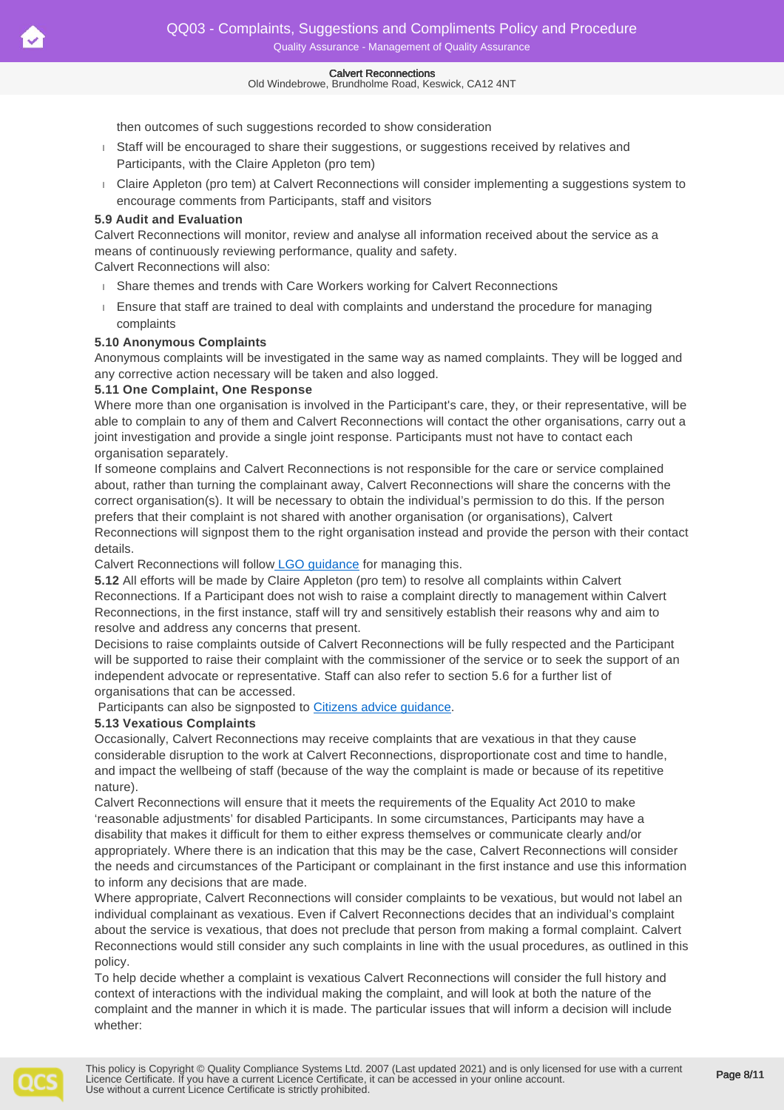#### Old Windebrowe, Brundholme Road, Keswick, CA12 4NT

then outcomes of such suggestions recorded to show consideration

- Staff will be encouraged to share their suggestions, or suggestions received by relatives and Participants, with the Claire Appleton (pro tem)
- Claire Appleton (pro tem) at Calvert Reconnections will consider implementing a suggestions system to encourage comments from Participants, staff and visitors

### **5.9 Audit and Evaluation**

Calvert Reconnections will monitor, review and analyse all information received about the service as a means of continuously reviewing performance, quality and safety.

Calvert Reconnections will also:

- Share themes and trends with Care Workers working for Calvert Reconnections
- Ensure that staff are trained to deal with complaints and understand the procedure for managing complaints

### **5.10 Anonymous Complaints**

Anonymous complaints will be investigated in the same way as named complaints. They will be logged and any corrective action necessary will be taken and also logged.

### **5.11 One Complaint, One Response**

Where more than one organisation is involved in the Participant's care, they, or their representative, will be able to complain to any of them and Calvert Reconnections will contact the other organisations, carry out a joint investigation and provide a single joint response. Participants must not have to contact each organisation separately.

If someone complains and Calvert Reconnections is not responsible for the care or service complained about, rather than turning the complainant away, Calvert Reconnections will share the concerns with the correct organisation(s). It will be necessary to obtain the individual's permission to do this. If the person prefers that their complaint is not shared with another organisation (or organisations), Calvert Reconnections will signpost them to the right organisation instead and provide the person with their contact details.

Calvert Reconnections will follo[w LGO guidance](https://www.lgo.org.uk/adult-social-care/adult-social-care-resources) for managing this.

**5.12** All efforts will be made by Claire Appleton (pro tem) to resolve all complaints within Calvert Reconnections. If a Participant does not wish to raise a complaint directly to management within Calvert Reconnections, in the first instance, staff will try and sensitively establish their reasons why and aim to resolve and address any concerns that present.

Decisions to raise complaints outside of Calvert Reconnections will be fully respected and the Participant will be supported to raise their complaint with the commissioner of the service or to seek the support of an independent advocate or representative. Staff can also refer to section 5.6 for a further list of organisations that can be accessed.

Participants can also be signposted to [Citizens advice guidance](https://www.citizensadvice.org.uk/health/nhs-and-social-care-complaints/complaining-about-social-care-services/who-you-can-go-to-when-you-have-a-problem-with-an-adult-social-care-service/).

### **5.13 Vexatious Complaints**

Occasionally, Calvert Reconnections may receive complaints that are vexatious in that they cause considerable disruption to the work at Calvert Reconnections, disproportionate cost and time to handle, and impact the wellbeing of staff (because of the way the complaint is made or because of its repetitive nature).

Calvert Reconnections will ensure that it meets the requirements of the Equality Act 2010 to make 'reasonable adjustments' for disabled Participants. In some circumstances, Participants may have a disability that makes it difficult for them to either express themselves or communicate clearly and/or appropriately. Where there is an indication that this may be the case, Calvert Reconnections will consider the needs and circumstances of the Participant or complainant in the first instance and use this information to inform any decisions that are made.

Where appropriate, Calvert Reconnections will consider complaints to be vexatious, but would not label an individual complainant as vexatious. Even if Calvert Reconnections decides that an individual's complaint about the service is vexatious, that does not preclude that person from making a formal complaint. Calvert Reconnections would still consider any such complaints in line with the usual procedures, as outlined in this policy.

To help decide whether a complaint is vexatious Calvert Reconnections will consider the full history and context of interactions with the individual making the complaint, and will look at both the nature of the complaint and the manner in which it is made. The particular issues that will inform a decision will include whether: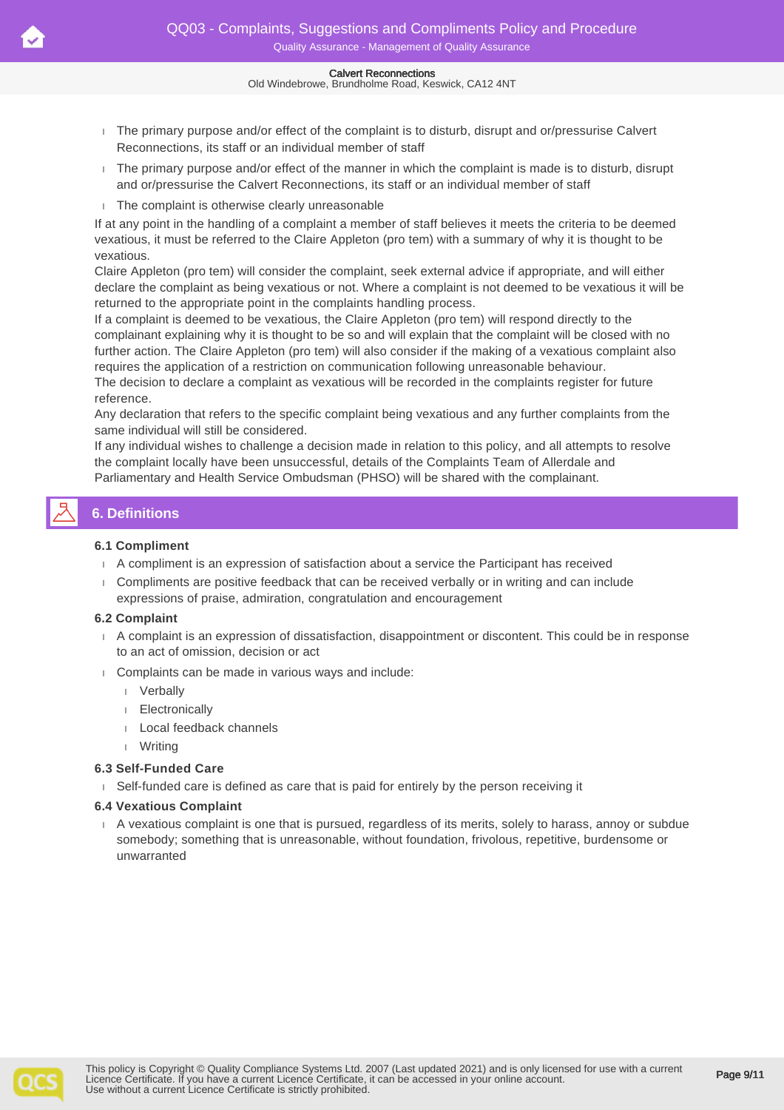Old Windebrowe, Brundholme Road, Keswick, CA12 4NT

- The primary purpose and/or effect of the complaint is to disturb, disrupt and or/pressurise Calvert Reconnections, its staff or an individual member of staff
- The primary purpose and/or effect of the manner in which the complaint is made is to disturb, disrupt and or/pressurise the Calvert Reconnections, its staff or an individual member of staff
- The complaint is otherwise clearly unreasonable

If at any point in the handling of a complaint a member of staff believes it meets the criteria to be deemed vexatious, it must be referred to the Claire Appleton (pro tem) with a summary of why it is thought to be vexatious.

Claire Appleton (pro tem) will consider the complaint, seek external advice if appropriate, and will either declare the complaint as being vexatious or not. Where a complaint is not deemed to be vexatious it will be returned to the appropriate point in the complaints handling process.

If a complaint is deemed to be vexatious, the Claire Appleton (pro tem) will respond directly to the complainant explaining why it is thought to be so and will explain that the complaint will be closed with no further action. The Claire Appleton (pro tem) will also consider if the making of a vexatious complaint also requires the application of a restriction on communication following unreasonable behaviour.

The decision to declare a complaint as vexatious will be recorded in the complaints register for future reference.

Any declaration that refers to the specific complaint being vexatious and any further complaints from the same individual will still be considered.

If any individual wishes to challenge a decision made in relation to this policy, and all attempts to resolve the complaint locally have been unsuccessful, details of the Complaints Team of Allerdale and Parliamentary and Health Service Ombudsman (PHSO) will be shared with the complainant.

# **6. Definitions**

### **6.1 Compliment**

- A compliment is an expression of satisfaction about a service the Participant has received
- Compliments are positive feedback that can be received verbally or in writing and can include expressions of praise, admiration, congratulation and encouragement

### **6.2 Complaint**

- A complaint is an expression of dissatisfaction, disappointment or discontent. This could be in response to an act of omission, decision or act
- Complaints can be made in various ways and include:
	- Verbally
	- Electronically
	- Local feedback channels
	- Writing

### **6.3 Self-Funded Care**

Self-funded care is defined as care that is paid for entirely by the person receiving it

### **6.4 Vexatious Complaint**

 A vexatious complaint is one that is pursued, regardless of its merits, solely to harass, annoy or subdue somebody; something that is unreasonable, without foundation, frivolous, repetitive, burdensome or unwarranted

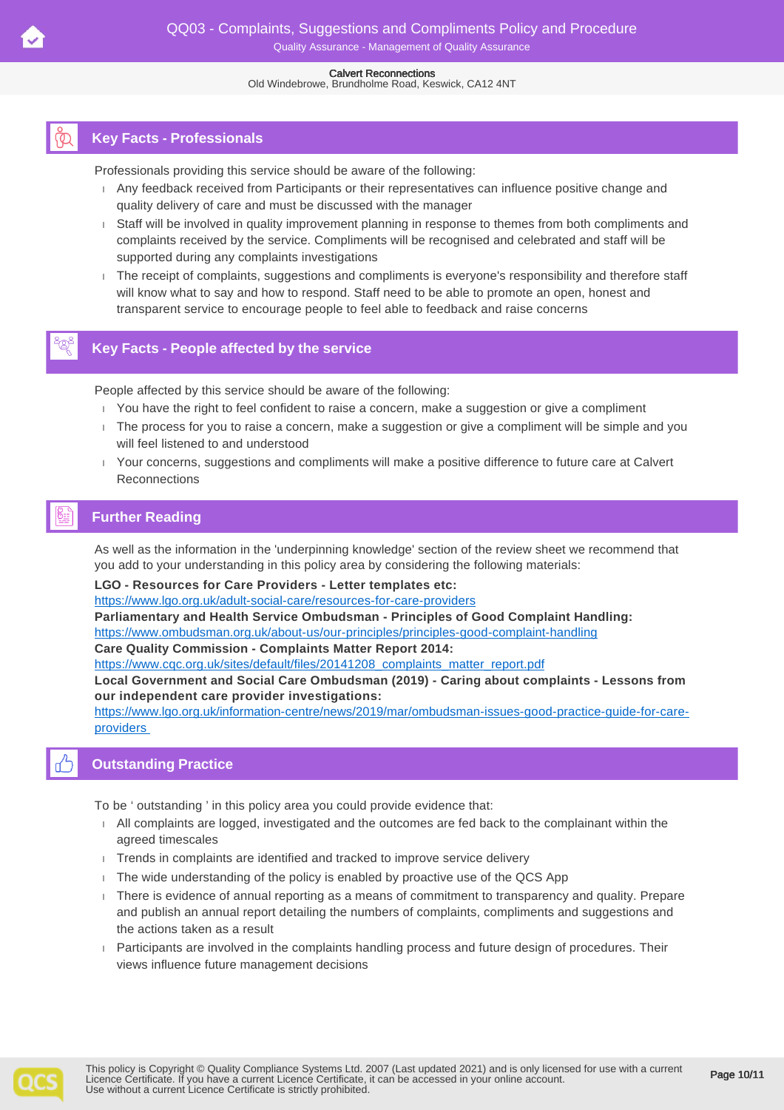Old Windebrowe, Brundholme Road, Keswick, CA12 4NT

# **Key Facts - Professionals**

Professionals providing this service should be aware of the following:

- Any feedback received from Participants or their representatives can influence positive change and quality delivery of care and must be discussed with the manager
- Staff will be involved in quality improvement planning in response to themes from both compliments and complaints received by the service. Compliments will be recognised and celebrated and staff will be supported during any complaints investigations
- The receipt of complaints, suggestions and compliments is everyone's responsibility and therefore staff will know what to say and how to respond. Staff need to be able to promote an open, honest and transparent service to encourage people to feel able to feedback and raise concerns

# **Key Facts - People affected by the service**

People affected by this service should be aware of the following:

- You have the right to feel confident to raise a concern, make a suggestion or give a compliment
- The process for you to raise a concern, make a suggestion or give a compliment will be simple and you will feel listened to and understood
- Your concerns, suggestions and compliments will make a positive difference to future care at Calvert **Reconnections**

# **Further Reading**

As well as the information in the 'underpinning knowledge' section of the review sheet we recommend that you add to your understanding in this policy area by considering the following materials:

**LGO - Resources for Care Providers - Letter templates etc:**

<https://www.lgo.org.uk/adult-social-care/resources-for-care-providers>

**Parliamentary and Health Service Ombudsman - Principles of Good Complaint Handling:**

<https://www.ombudsman.org.uk/about-us/our-principles/principles-good-complaint-handling>

**Care Quality Commission - Complaints Matter Report 2014:**

[https://www.cqc.org.uk/sites/default/files/20141208\\_complaints\\_matter\\_report.pdf](https://www.cqc.org.uk/sites/default/files/20141208_complaints_matter_report.pdf)

**Local Government and Social Care Ombudsman (2019) - Caring about complaints - Lessons from our independent care provider investigations:**

[https://www.lgo.org.uk/information-centre/news/2019/mar/ombudsman-issues-good-practice-guide-for-care](https://www.lgo.org.uk/information-centre/news/2019/mar/ombudsman-issues-good-practice-guide-for-care-providers)[providers](https://www.lgo.org.uk/information-centre/news/2019/mar/ombudsman-issues-good-practice-guide-for-care-providers) 

# **Outstanding Practice**

To be ' outstanding ' in this policy area you could provide evidence that:

- All complaints are logged, investigated and the outcomes are fed back to the complainant within the agreed timescales
- Trends in complaints are identified and tracked to improve service delivery
- $\overline{1}$ . The wide understanding of the policy is enabled by proactive use of the QCS App
- There is evidence of annual reporting as a means of commitment to transparency and quality. Prepare and publish an annual report detailing the numbers of complaints, compliments and suggestions and the actions taken as a result
- Participants are involved in the complaints handling process and future design of procedures. Their views influence future management decisions

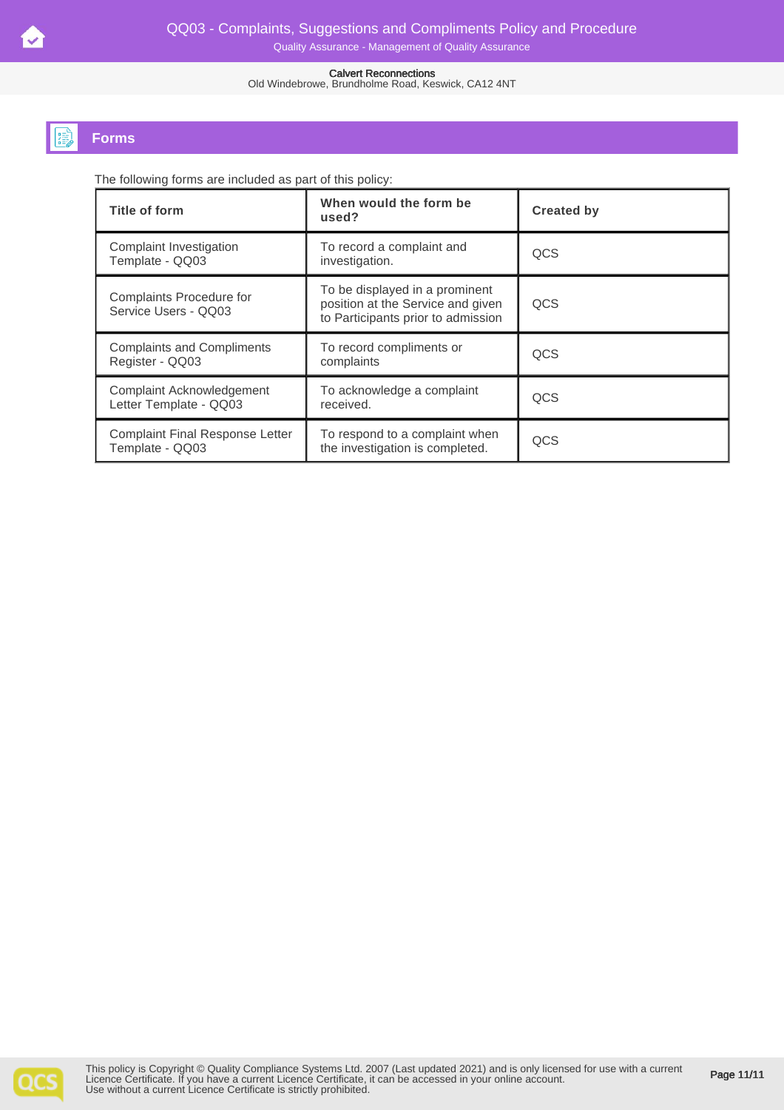Old Windebrowe, Brundholme Road, Keswick, CA12 4NT

# **Forms**

The following forms are included as part of this policy:

| Title of form                                             | When would the form be<br>used?                                                                           | <b>Created by</b> |
|-----------------------------------------------------------|-----------------------------------------------------------------------------------------------------------|-------------------|
| Complaint Investigation<br>Template - QQ03                | To record a complaint and<br>investigation.                                                               | <b>QCS</b>        |
| Complaints Procedure for<br>Service Users - QQ03          | To be displayed in a prominent<br>position at the Service and given<br>to Participants prior to admission | <b>QCS</b>        |
| <b>Complaints and Compliments</b><br>Register - QQ03      | To record compliments or<br>complaints                                                                    | QCS               |
| Complaint Acknowledgement<br>Letter Template - QQ03       | To acknowledge a complaint<br>received.                                                                   | QCS               |
| <b>Complaint Final Response Letter</b><br>Template - QQ03 | To respond to a complaint when<br>the investigation is completed.                                         | QCS               |

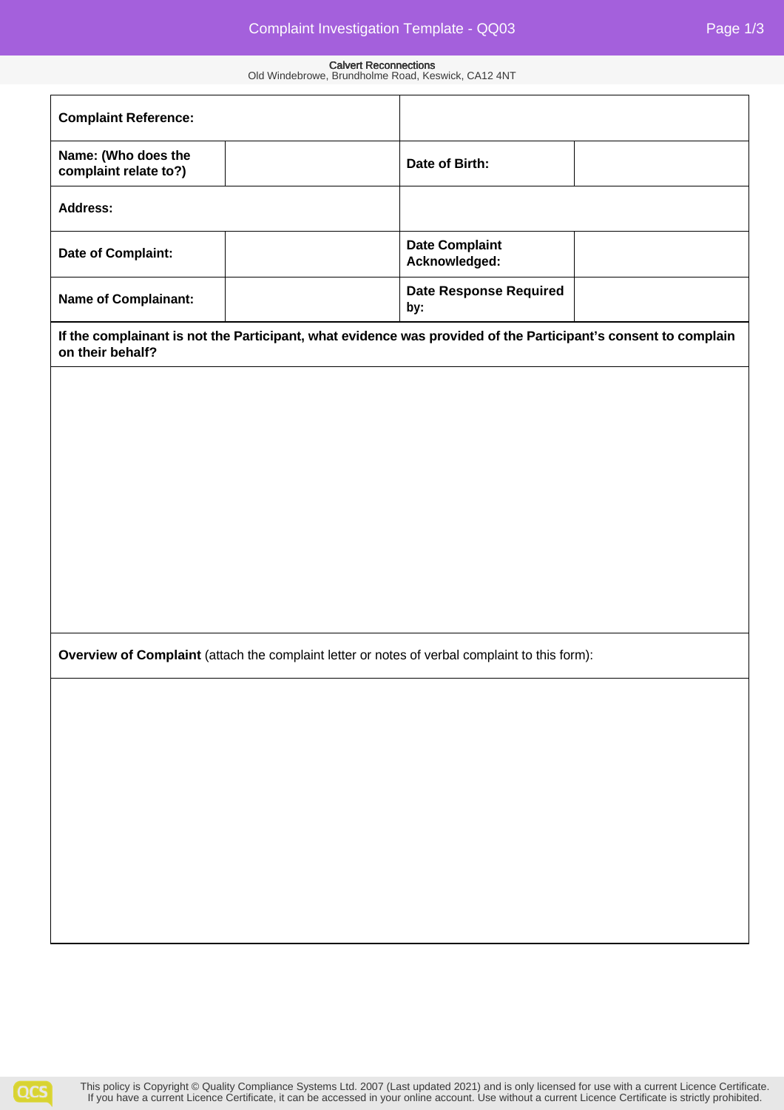| <b>Complaint Reference:</b>                                                                                                        |                                        |
|------------------------------------------------------------------------------------------------------------------------------------|----------------------------------------|
| Name: (Who does the                                                                                                                | Date of Birth:                         |
| complaint relate to?)                                                                                                              |                                        |
| <b>Address:</b>                                                                                                                    |                                        |
| Date of Complaint:                                                                                                                 | <b>Date Complaint</b><br>Acknowledged: |
| <b>Name of Complainant:</b>                                                                                                        | <b>Date Response Required</b><br>by:   |
| If the complainant is not the Participant, what evidence was provided of the Participant's consent to complain<br>on their behalf? |                                        |
|                                                                                                                                    |                                        |
|                                                                                                                                    |                                        |
|                                                                                                                                    |                                        |
|                                                                                                                                    |                                        |
|                                                                                                                                    |                                        |
|                                                                                                                                    |                                        |
|                                                                                                                                    |                                        |
|                                                                                                                                    |                                        |
|                                                                                                                                    |                                        |
| Overview of Complaint (attach the complaint letter or notes of verbal complaint to this form):                                     |                                        |
|                                                                                                                                    |                                        |
|                                                                                                                                    |                                        |
|                                                                                                                                    |                                        |
|                                                                                                                                    |                                        |
|                                                                                                                                    |                                        |
|                                                                                                                                    |                                        |
|                                                                                                                                    |                                        |
|                                                                                                                                    |                                        |
|                                                                                                                                    |                                        |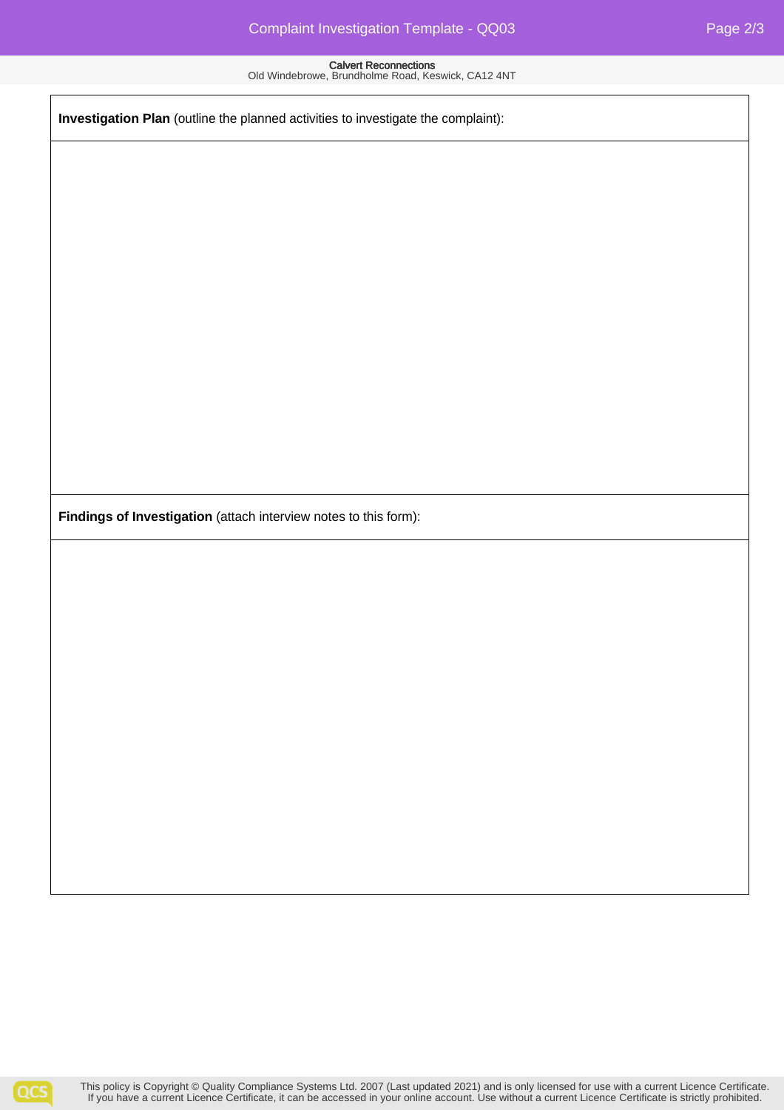**Investigation Plan** (outline the planned activities to investigate the complaint):

**Findings of Investigation** (attach interview notes to this form):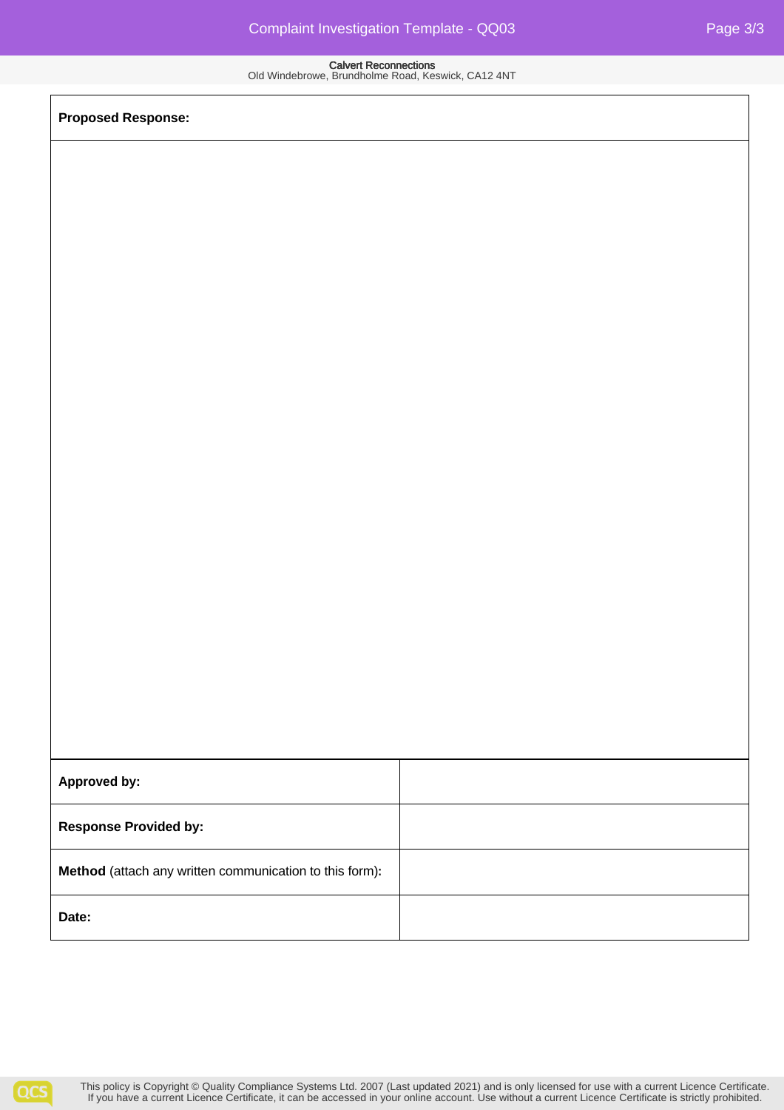**Proposed Response:**

| Approved by:                                            |  |  |  |
|---------------------------------------------------------|--|--|--|
| <b>Response Provided by:</b>                            |  |  |  |
| Method (attach any written communication to this form): |  |  |  |
| Date:                                                   |  |  |  |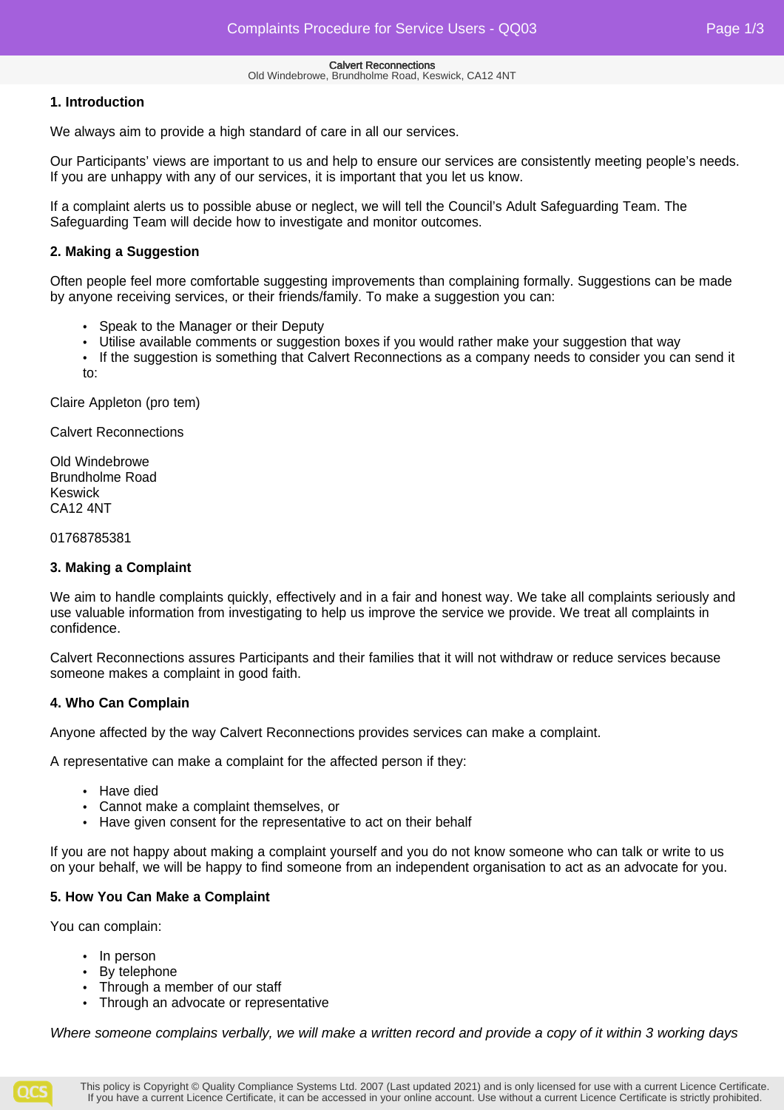### **1. Introduction**

We always aim to provide a high standard of care in all our services.

Our Participants' views are important to us and help to ensure our services are consistently meeting people's needs. If you are unhappy with any of our services, it is important that you let us know.

If a complaint alerts us to possible abuse or neglect, we will tell the Council's Adult Safeguarding Team. The Safeguarding Team will decide how to investigate and monitor outcomes.

### **2. Making a Suggestion**

Often people feel more comfortable suggesting improvements than complaining formally. Suggestions can be made by anyone receiving services, or their friends/family. To make a suggestion you can:

- Speak to the Manager or their Deputy
- Utilise available comments or suggestion boxes if you would rather make your suggestion that way
- If the suggestion is something that Calvert Reconnections as a company needs to consider you can send it to:

Claire Appleton (pro tem)

Calvert Reconnections

Old Windebrowe Brundholme Road Keswick CA12 4NT

01768785381

### **3. Making a Complaint**

We aim to handle complaints quickly, effectively and in a fair and honest way. We take all complaints seriously and use valuable information from investigating to help us improve the service we provide. We treat all complaints in confidence.

Calvert Reconnections assures Participants and their families that it will not withdraw or reduce services because someone makes a complaint in good faith.

### **4. Who Can Complain**

Anyone affected by the way Calvert Reconnections provides services can make a complaint.

A representative can make a complaint for the affected person if they:

- Have died
- Cannot make a complaint themselves, or
- Have given consent for the representative to act on their behalf

If you are not happy about making a complaint yourself and you do not know someone who can talk or write to us on your behalf, we will be happy to find someone from an independent organisation to act as an advocate for you.

### **5. How You Can Make a Complaint**

You can complain:

- In person
- By telephone
- Through a member of our staff
- Through an advocate or representative

Where someone complains verbally, we will make a written record and provide a copy of it within 3 working days

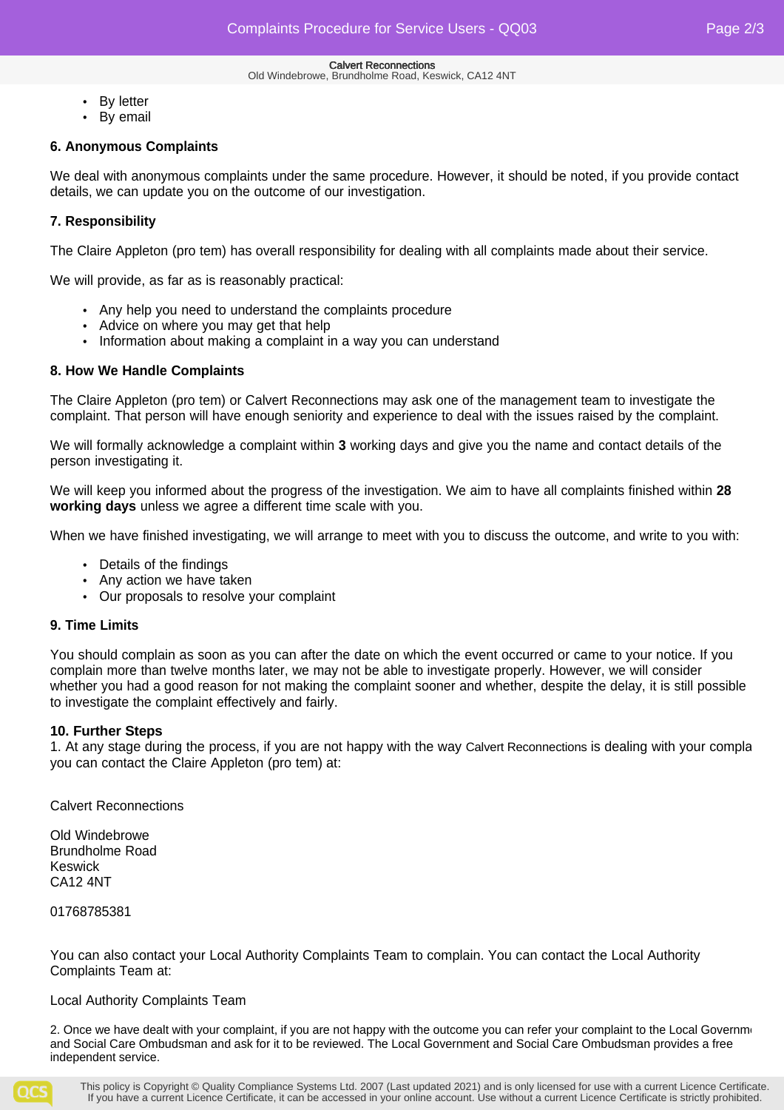- By letter
- By email

### **6. Anonymous Complaints**

We deal with anonymous complaints under the same procedure. However, it should be noted, if you provide contact details, we can update you on the outcome of our investigation.

### **7. Responsibility**

The Claire Appleton (pro tem) has overall responsibility for dealing with all complaints made about their service.

We will provide, as far as is reasonably practical:

- Any help you need to understand the complaints procedure
- Advice on where you may get that help
- Information about making a complaint in a way you can understand

### **8. How We Handle Complaints**

The Claire Appleton (pro tem) or Calvert Reconnections may ask one of the management team to investigate the complaint. That person will have enough seniority and experience to deal with the issues raised by the complaint.

We will formally acknowledge a complaint within **3** working days and give you the name and contact details of the person investigating it.

We will keep you informed about the progress of the investigation. We aim to have all complaints finished within **28 working days** unless we agree a different time scale with you.

When we have finished investigating, we will arrange to meet with you to discuss the outcome, and write to you with:

- Details of the findings
- Any action we have taken
- Our proposals to resolve your complaint

### **9. Time Limits**

You should complain as soon as you can after the date on which the event occurred or came to your notice. If you complain more than twelve months later, we may not be able to investigate properly. However, we will consider whether you had a good reason for not making the complaint sooner and whether, despite the delay, it is still possible to investigate the complaint effectively and fairly.

### **10. Further Steps**

1. At any stage during the process, if you are not happy with the way Calvert Reconnections is dealing with your compla you can contact the Claire Appleton (pro tem) at:

Calvert Reconnections

Old Windebrowe Brundholme Road Keswick CA12 4NT

01768785381

You can also contact your Local Authority Complaints Team to complain. You can contact the Local Authority Complaints Team at:

### Local Authority Complaints Team

2. Once we have dealt with your complaint, if you are not happy with the outcome you can refer your complaint to the Local Governme and Social Care Ombudsman and ask for it to be reviewed. The Local Government and Social Care Ombudsman provides a free independent service.

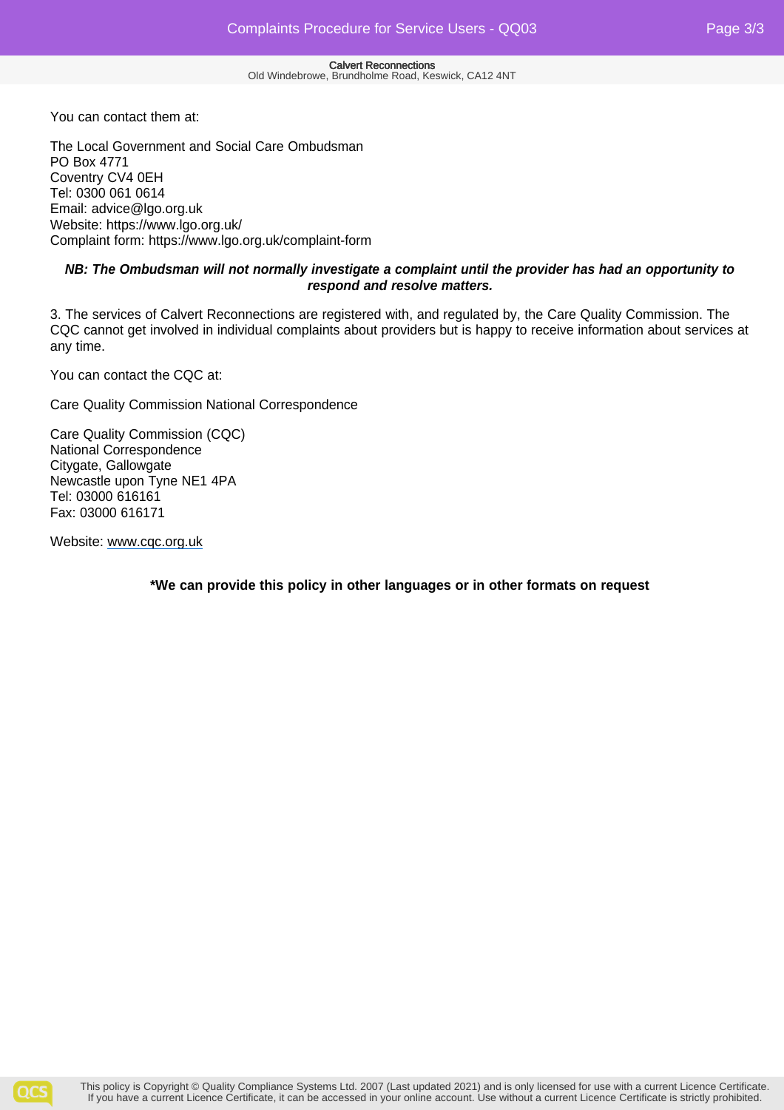You can contact them at:

The Local Government and Social Care Ombudsman PO Box 4771 Coventry CV4 0EH Tel: 0300 061 0614 Email: advice@lgo.org.uk Website: https://www.lgo.org.uk/ Complaint form: https://www.lgo.org.uk/complaint-form

### **NB: The Ombudsman will not normally investigate a complaint until the provider has had an opportunity to respond and resolve matters.**

3. The services of Calvert Reconnections are registered with, and regulated by, the Care Quality Commission. The CQC cannot get involved in individual complaints about providers but is happy to receive information about services at any time.

You can contact the CQC at:

Care Quality Commission National Correspondence

Care Quality Commission (CQC) National Correspondence Citygate, Gallowgate Newcastle upon Tyne NE1 4PA Tel: 03000 616161 Fax: 03000 616171

Website: www.cqc.org.uk

**\*We can provide this policy in other languages or in other formats on request**

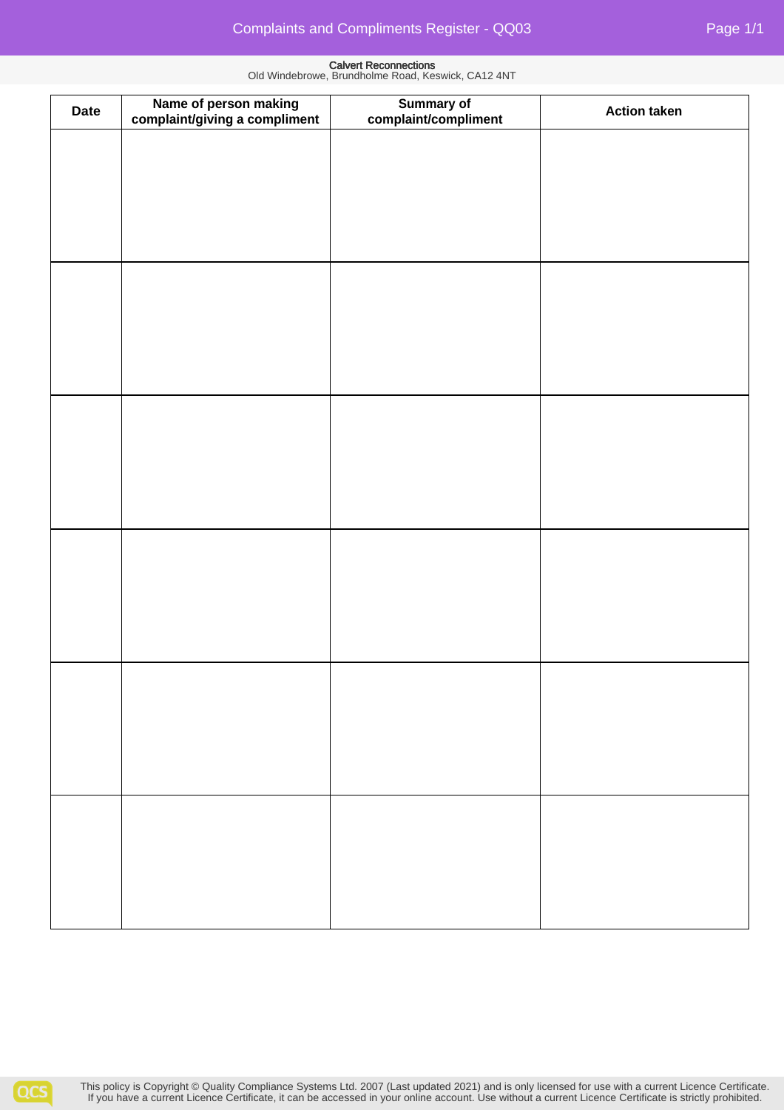| <b>Date</b> | Name of person making<br>complaint/giving a compliment | Summary of<br>complaint/compliment | <b>Action taken</b> |
|-------------|--------------------------------------------------------|------------------------------------|---------------------|
|             |                                                        |                                    |                     |
|             |                                                        |                                    |                     |
|             |                                                        |                                    |                     |
|             |                                                        |                                    |                     |
|             |                                                        |                                    |                     |
|             |                                                        |                                    |                     |
|             |                                                        |                                    |                     |
|             |                                                        |                                    |                     |
|             |                                                        |                                    |                     |
|             |                                                        |                                    |                     |
|             |                                                        |                                    |                     |
|             |                                                        |                                    |                     |
|             |                                                        |                                    |                     |
|             |                                                        |                                    |                     |
|             |                                                        |                                    |                     |
|             |                                                        |                                    |                     |
|             |                                                        |                                    |                     |
|             |                                                        |                                    |                     |
|             |                                                        |                                    |                     |
|             |                                                        |                                    |                     |
|             |                                                        |                                    |                     |
|             |                                                        |                                    |                     |
|             |                                                        |                                    |                     |
|             |                                                        |                                    |                     |
|             |                                                        |                                    |                     |
|             |                                                        |                                    |                     |
|             |                                                        |                                    |                     |
|             |                                                        |                                    |                     |
|             |                                                        |                                    |                     |
|             |                                                        |                                    |                     |
|             |                                                        |                                    |                     |
|             |                                                        |                                    |                     |
|             |                                                        |                                    |                     |
|             |                                                        |                                    |                     |
|             |                                                        |                                    |                     |
|             |                                                        |                                    |                     |
|             |                                                        |                                    |                     |
|             |                                                        |                                    |                     |
|             |                                                        |                                    |                     |
|             |                                                        |                                    |                     |
|             |                                                        |                                    |                     |
|             |                                                        |                                    |                     |
|             |                                                        |                                    |                     |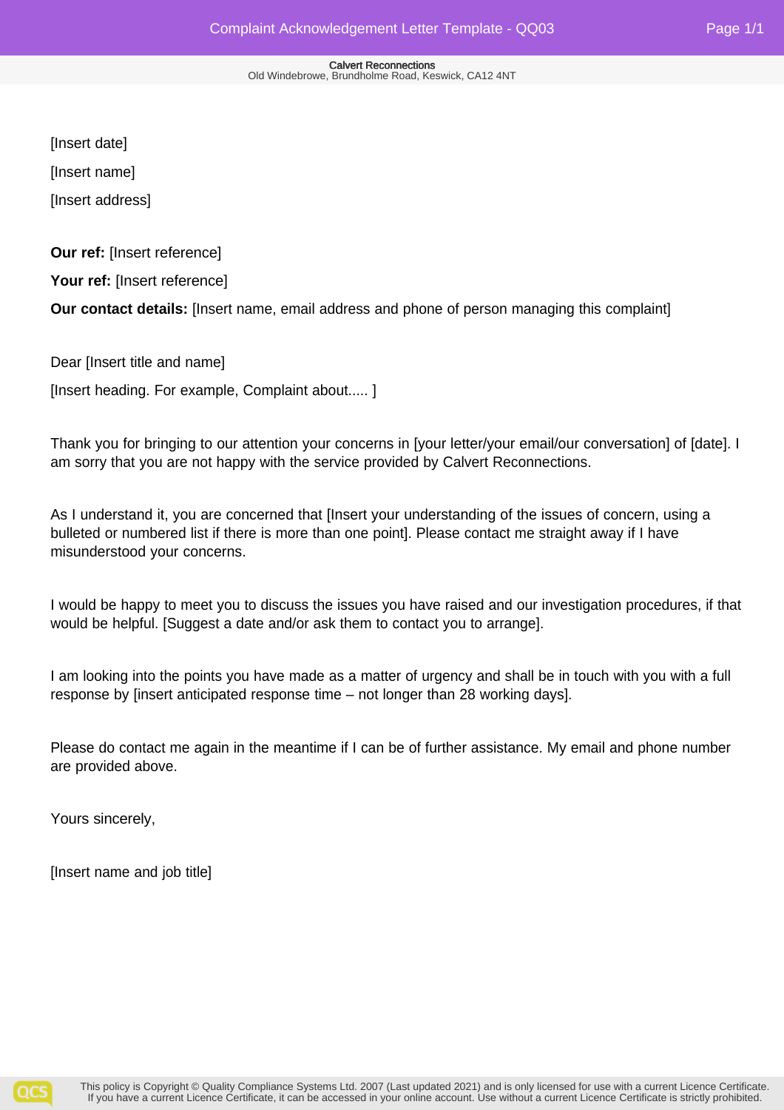[Insert date]

[Insert name]

[Insert address]

**Our ref:** [Insert reference]

Your ref: [Insert reference]

**Our contact details:** [Insert name, email address and phone of person managing this complaint]

Dear [Insert title and name]

[Insert heading. For example, Complaint about..... ]

Thank you for bringing to our attention your concerns in [your letter/your email/our conversation] of [date]. I am sorry that you are not happy with the service provided by Calvert Reconnections.

As I understand it, you are concerned that [Insert your understanding of the issues of concern, using a bulleted or numbered list if there is more than one point]. Please contact me straight away if I have misunderstood your concerns.

I would be happy to meet you to discuss the issues you have raised and our investigation procedures, if that would be helpful. [Suggest a date and/or ask them to contact you to arrange].

I am looking into the points you have made as a matter of urgency and shall be in touch with you with a full response by [insert anticipated response time – not longer than 28 working days].

Please do contact me again in the meantime if I can be of further assistance. My email and phone number are provided above.

Yours sincerely,

[Insert name and job title]